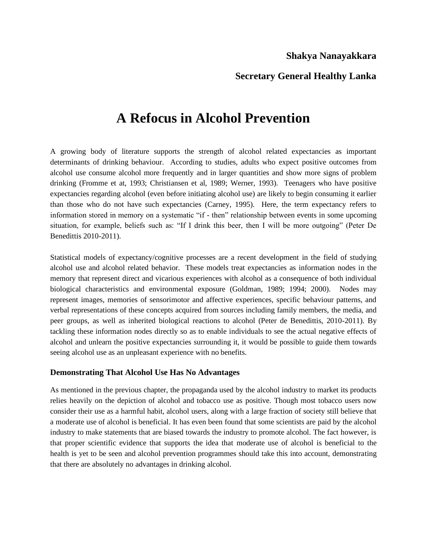## **Shakya Nanayakkara**

## **Secretary General Healthy Lanka**

# **A Refocus in Alcohol Prevention**

A growing body of literature supports the strength of alcohol related expectancies as important determinants of drinking behaviour. According to studies, adults who expect positive outcomes from alcohol use consume alcohol more frequently and in larger quantities and show more signs of problem drinking (Fromme et at, 1993; Christiansen et al, 1989; Werner, 1993). Teenagers who have positive expectancies regarding alcohol (even before initiating alcohol use) are likely to begin consuming it earlier than those who do not have such expectancies (Carney, 1995). Here, the term expectancy refers to information stored in memory on a systematic "if - then" relationship between events in some upcoming situation, for example, beliefs such as: "If I drink this beer, then I will be more outgoing" (Peter De Benedittis 2010-2011).

Statistical models of expectancy/cognitive processes are a recent development in the field of studying alcohol use and alcohol related behavior. These models treat expectancies as information nodes in the memory that represent direct and vicarious experiences with alcohol as a consequence of both individual biological characteristics and environmental exposure (Goldman, 1989; 1994; 2000). Nodes may represent images, memories of sensorimotor and affective experiences, specific behaviour patterns, and verbal representations of these concepts acquired from sources including family members, the media, and peer groups, as well as inherited biological reactions to alcohol (Peter de Benedittis, 2010-2011). By tackling these information nodes directly so as to enable individuals to see the actual negative effects of alcohol and unlearn the positive expectancies surrounding it, it would be possible to guide them towards seeing alcohol use as an unpleasant experience with no benefits.

#### **Demonstrating That Alcohol Use Has No Advantages**

As mentioned in the previous chapter, the propaganda used by the alcohol industry to market its products relies heavily on the depiction of alcohol and tobacco use as positive. Though most tobacco users now consider their use as a harmful habit, alcohol users, along with a large fraction of society still believe that a moderate use of alcohol is beneficial. It has even been found that some scientists are paid by the alcohol industry to make statements that are biased towards the industry to promote alcohol. The fact however, is that proper scientific evidence that supports the idea that moderate use of alcohol is beneficial to the health is yet to be seen and alcohol prevention programmes should take this into account, demonstrating that there are absolutely no advantages in drinking alcohol.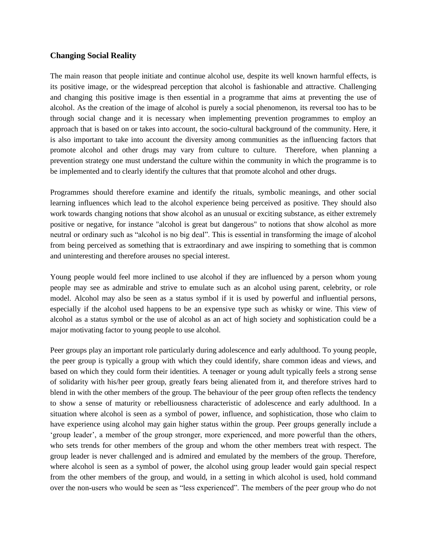#### **Changing Social Reality**

The main reason that people initiate and continue alcohol use, despite its well known harmful effects, is its positive image, or the widespread perception that alcohol is fashionable and attractive. Challenging and changing this positive image is then essential in a programme that aims at preventing the use of alcohol. As the creation of the image of alcohol is purely a social phenomenon, its reversal too has to be through social change and it is necessary when implementing prevention programmes to employ an approach that is based on or takes into account, the socio-cultural background of the community. Here, it is also important to take into account the diversity among communities as the influencing factors that promote alcohol and other drugs may vary from culture to culture. Therefore, when planning a prevention strategy one must understand the culture within the community in which the programme is to be implemented and to clearly identify the cultures that that promote alcohol and other drugs.

Programmes should therefore examine and identify the rituals, symbolic meanings, and other social learning influences which lead to the alcohol experience being perceived as positive. They should also work towards changing notions that show alcohol as an unusual or exciting substance, as either extremely positive or negative, for instance "alcohol is great but dangerous" to notions that show alcohol as more neutral or ordinary such as "alcohol is no big deal". This is essential in transforming the image of alcohol from being perceived as something that is extraordinary and awe inspiring to something that is common and uninteresting and therefore arouses no special interest.

Young people would feel more inclined to use alcohol if they are influenced by a person whom young people may see as admirable and strive to emulate such as an alcohol using parent, celebrity, or role model. Alcohol may also be seen as a status symbol if it is used by powerful and influential persons, especially if the alcohol used happens to be an expensive type such as whisky or wine. This view of alcohol as a status symbol or the use of alcohol as an act of high society and sophistication could be a major motivating factor to young people to use alcohol.

Peer groups play an important role particularly during adolescence and early adulthood. To young people, the peer group is typically a group with which they could identify, share common ideas and views, and based on which they could form their identities. A teenager or young adult typically feels a strong sense of solidarity with his/her peer group, greatly fears being alienated from it, and therefore strives hard to blend in with the other members of the group. The behaviour of the peer group often reflects the tendency to show a sense of maturity or rebelliousness characteristic of adolescence and early adulthood. In a situation where alcohol is seen as a symbol of power, influence, and sophistication, those who claim to have experience using alcohol may gain higher status within the group. Peer groups generally include a 'group leader', a member of the group stronger, more experienced, and more powerful than the others, who sets trends for other members of the group and whom the other members treat with respect. The group leader is never challenged and is admired and emulated by the members of the group. Therefore, where alcohol is seen as a symbol of power, the alcohol using group leader would gain special respect from the other members of the group, and would, in a setting in which alcohol is used, hold command over the non-users who would be seen as "less experienced". The members of the peer group who do not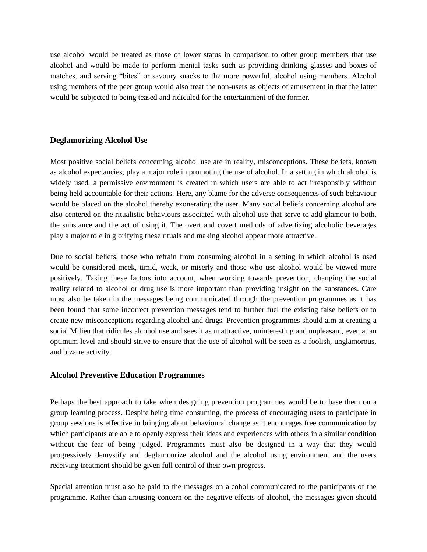use alcohol would be treated as those of lower status in comparison to other group members that use alcohol and would be made to perform menial tasks such as providing drinking glasses and boxes of matches, and serving "bites" or savoury snacks to the more powerful, alcohol using members. Alcohol using members of the peer group would also treat the non-users as objects of amusement in that the latter would be subjected to being teased and ridiculed for the entertainment of the former.

### **Deglamorizing Alcohol Use**

Most positive social beliefs concerning alcohol use are in reality, misconceptions. These beliefs, known as alcohol expectancies, play a major role in promoting the use of alcohol. In a setting in which alcohol is widely used, a permissive environment is created in which users are able to act irresponsibly without being held accountable for their actions. Here, any blame for the adverse consequences of such behaviour would be placed on the alcohol thereby exonerating the user. Many social beliefs concerning alcohol are also centered on the ritualistic behaviours associated with alcohol use that serve to add glamour to both, the substance and the act of using it. The overt and covert methods of advertizing alcoholic beverages play a major role in glorifying these rituals and making alcohol appear more attractive.

Due to social beliefs, those who refrain from consuming alcohol in a setting in which alcohol is used would be considered meek, timid, weak, or miserly and those who use alcohol would be viewed more positively. Taking these factors into account, when working towards prevention, changing the social reality related to alcohol or drug use is more important than providing insight on the substances. Care must also be taken in the messages being communicated through the prevention programmes as it has been found that some incorrect prevention messages tend to further fuel the existing false beliefs or to create new misconceptions regarding alcohol and drugs. Prevention programmes should aim at creating a social Milieu that ridicules alcohol use and sees it as unattractive, uninteresting and unpleasant, even at an optimum level and should strive to ensure that the use of alcohol will be seen as a foolish, unglamorous, and bizarre activity.

#### **Alcohol Preventive Education Programmes**

Perhaps the best approach to take when designing prevention programmes would be to base them on a group learning process. Despite being time consuming, the process of encouraging users to participate in group sessions is effective in bringing about behavioural change as it encourages free communication by which participants are able to openly express their ideas and experiences with others in a similar condition without the fear of being judged. Programmes must also be designed in a way that they would progressively demystify and deglamourize alcohol and the alcohol using environment and the users receiving treatment should be given full control of their own progress.

Special attention must also be paid to the messages on alcohol communicated to the participants of the programme. Rather than arousing concern on the negative effects of alcohol, the messages given should